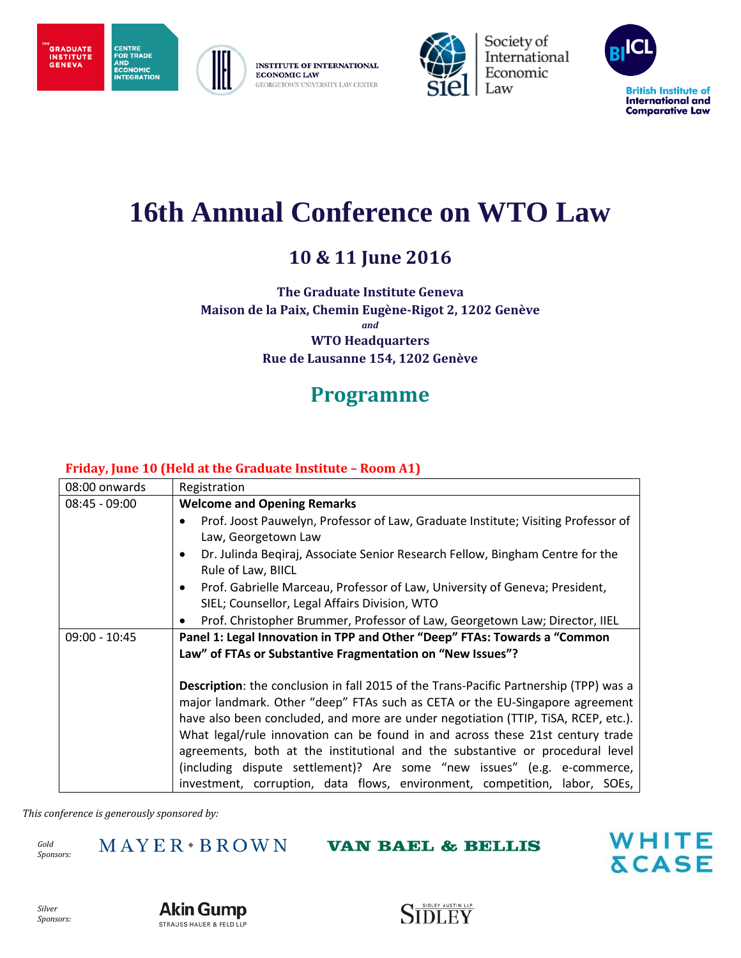**INSTITUTE OF INTERNATIONAL ECONOMIC LAW** GEORGETOWN UNIVERSITY LAW CENTER



Society of<br>International Economic Law



# **16th Annual Conference on WTO Law**

## **10 & 11 June 2016**

**The Graduate Institute Geneva Maison de la Paix, Chemin Eugène-Rigot 2, 1202 Genève** *and* **WTO Headquarters Rue de Lausanne 154, 1202 Genève**

# **Programme**

### **Friday, June 10 (Held at the Graduate Institute – Room A1)**

| 08:00 onwards   | Registration                                                                                                                                                                                                                                                                                                                                                                                                                                                                                              |
|-----------------|-----------------------------------------------------------------------------------------------------------------------------------------------------------------------------------------------------------------------------------------------------------------------------------------------------------------------------------------------------------------------------------------------------------------------------------------------------------------------------------------------------------|
| $08:45 - 09:00$ | <b>Welcome and Opening Remarks</b>                                                                                                                                                                                                                                                                                                                                                                                                                                                                        |
|                 | Prof. Joost Pauwelyn, Professor of Law, Graduate Institute; Visiting Professor of<br>$\bullet$                                                                                                                                                                                                                                                                                                                                                                                                            |
|                 | Law, Georgetown Law                                                                                                                                                                                                                                                                                                                                                                                                                                                                                       |
|                 | Dr. Julinda Begiraj, Associate Senior Research Fellow, Bingham Centre for the<br>٠                                                                                                                                                                                                                                                                                                                                                                                                                        |
|                 | Rule of Law, BIICL                                                                                                                                                                                                                                                                                                                                                                                                                                                                                        |
|                 | Prof. Gabrielle Marceau, Professor of Law, University of Geneva; President,                                                                                                                                                                                                                                                                                                                                                                                                                               |
|                 | SIEL; Counsellor, Legal Affairs Division, WTO                                                                                                                                                                                                                                                                                                                                                                                                                                                             |
|                 | Prof. Christopher Brummer, Professor of Law, Georgetown Law; Director, IIEL                                                                                                                                                                                                                                                                                                                                                                                                                               |
| $09:00 - 10:45$ | Panel 1: Legal Innovation in TPP and Other "Deep" FTAs: Towards a "Common                                                                                                                                                                                                                                                                                                                                                                                                                                 |
|                 | Law" of FTAs or Substantive Fragmentation on "New Issues"?                                                                                                                                                                                                                                                                                                                                                                                                                                                |
|                 | Description: the conclusion in fall 2015 of the Trans-Pacific Partnership (TPP) was a<br>major landmark. Other "deep" FTAs such as CETA or the EU-Singapore agreement<br>have also been concluded, and more are under negotiation (TTIP, TISA, RCEP, etc.).<br>What legal/rule innovation can be found in and across these 21st century trade<br>agreements, both at the institutional and the substantive or procedural level<br>(including dispute settlement)? Are some "new issues" (e.g. e-commerce, |
|                 | investment, corruption, data flows, environment, competition, labor, SOEs,                                                                                                                                                                                                                                                                                                                                                                                                                                |

*This conference is generously sponsored by:*

*Gold Sponsors:*

**GRADUATE** 

**INSTITUTE**<br>GENEVA

CENTRE<br>FOR TRADE

**CONTINABLE**<br>AND<br>ECONOMIC<br>INTEGRATION

 $MAYER*BROWN$ 

**VAN BAEL & BELLIS** 





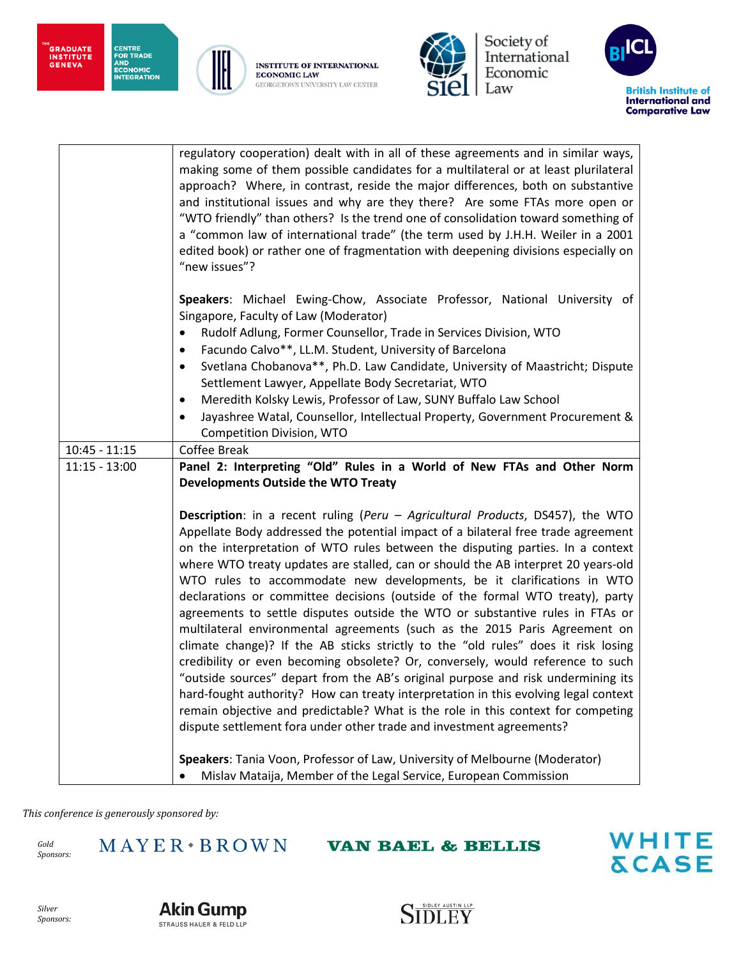"<br>GRADUATE<br>INSTITUTE<br>GENEVA







Society of<br>International Economic Law



|                 | regulatory cooperation) dealt with in all of these agreements and in similar ways,<br>making some of them possible candidates for a multilateral or at least plurilateral<br>approach? Where, in contrast, reside the major differences, both on substantive<br>and institutional issues and why are they there? Are some FTAs more open or<br>"WTO friendly" than others? Is the trend one of consolidation toward something of<br>a "common law of international trade" (the term used by J.H.H. Weiler in a 2001<br>edited book) or rather one of fragmentation with deepening divisions especially on<br>"new issues"?                                                                                                                                                                                                                                                                                                                                                                                                                                                                                                                                                                                                                                               |
|-----------------|--------------------------------------------------------------------------------------------------------------------------------------------------------------------------------------------------------------------------------------------------------------------------------------------------------------------------------------------------------------------------------------------------------------------------------------------------------------------------------------------------------------------------------------------------------------------------------------------------------------------------------------------------------------------------------------------------------------------------------------------------------------------------------------------------------------------------------------------------------------------------------------------------------------------------------------------------------------------------------------------------------------------------------------------------------------------------------------------------------------------------------------------------------------------------------------------------------------------------------------------------------------------------|
|                 | Speakers: Michael Ewing-Chow, Associate Professor, National University of<br>Singapore, Faculty of Law (Moderator)<br>Rudolf Adlung, Former Counsellor, Trade in Services Division, WTO<br>$\bullet$<br>Facundo Calvo**, LL.M. Student, University of Barcelona<br>$\bullet$<br>Svetlana Chobanova**, Ph.D. Law Candidate, University of Maastricht; Dispute<br>$\bullet$<br>Settlement Lawyer, Appellate Body Secretariat, WTO<br>Meredith Kolsky Lewis, Professor of Law, SUNY Buffalo Law School<br>$\bullet$<br>Jayashree Watal, Counsellor, Intellectual Property, Government Procurement &                                                                                                                                                                                                                                                                                                                                                                                                                                                                                                                                                                                                                                                                         |
|                 | Competition Division, WTO                                                                                                                                                                                                                                                                                                                                                                                                                                                                                                                                                                                                                                                                                                                                                                                                                                                                                                                                                                                                                                                                                                                                                                                                                                                |
| $10:45 - 11:15$ | <b>Coffee Break</b>                                                                                                                                                                                                                                                                                                                                                                                                                                                                                                                                                                                                                                                                                                                                                                                                                                                                                                                                                                                                                                                                                                                                                                                                                                                      |
| $11:15 - 13:00$ | Panel 2: Interpreting "Old" Rules in a World of New FTAs and Other Norm<br><b>Developments Outside the WTO Treaty</b>                                                                                                                                                                                                                                                                                                                                                                                                                                                                                                                                                                                                                                                                                                                                                                                                                                                                                                                                                                                                                                                                                                                                                    |
|                 | <b>Description:</b> in a recent ruling (Peru – Agricultural Products, DS457), the WTO<br>Appellate Body addressed the potential impact of a bilateral free trade agreement<br>on the interpretation of WTO rules between the disputing parties. In a context<br>where WTO treaty updates are stalled, can or should the AB interpret 20 years-old<br>WTO rules to accommodate new developments, be it clarifications in WTO<br>declarations or committee decisions (outside of the formal WTO treaty), party<br>agreements to settle disputes outside the WTO or substantive rules in FTAs or<br>multilateral environmental agreements (such as the 2015 Paris Agreement on<br>climate change)? If the AB sticks strictly to the "old rules" does it risk losing<br>credibility or even becoming obsolete? Or, conversely, would reference to such<br>"outside sources" depart from the AB's original purpose and risk undermining its<br>hard-fought authority? How can treaty interpretation in this evolving legal context<br>remain objective and predictable? What is the role in this context for competing<br>dispute settlement fora under other trade and investment agreements?<br>Speakers: Tania Voon, Professor of Law, University of Melbourne (Moderator) |
|                 | Mislav Mataija, Member of the Legal Service, European Commission<br>$\bullet$                                                                                                                                                                                                                                                                                                                                                                                                                                                                                                                                                                                                                                                                                                                                                                                                                                                                                                                                                                                                                                                                                                                                                                                            |

*This conference is generously sponsored by:*

*Gold Sponsors:*  $MAYER*BROWN$ 

**VAN BAEL & BELLIS** 





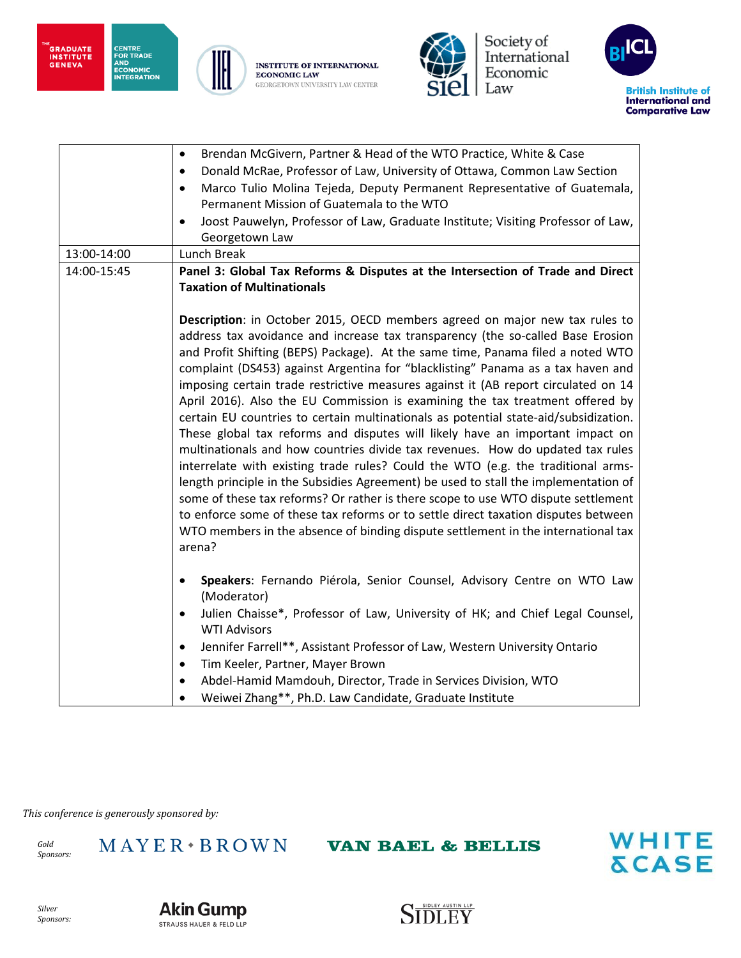"<br>GRADUATE<br>INSTITUTE<br>GENEVA



**CENTRE<br>FOR TRADE<br>AND<br>ECONOMIC<br>INTEGRATION** 

**INSTITUTE OF INTERNATIONAL ECONOMIC LAW** GEORGETOWN UNIVERSITY LAW CENTER



Society of<br>International Economic Law



|             | Brendan McGivern, Partner & Head of the WTO Practice, White & Case<br>$\bullet$                                   |
|-------------|-------------------------------------------------------------------------------------------------------------------|
|             | Donald McRae, Professor of Law, University of Ottawa, Common Law Section<br>$\bullet$                             |
|             | Marco Tulio Molina Tejeda, Deputy Permanent Representative of Guatemala,<br>$\bullet$                             |
|             | Permanent Mission of Guatemala to the WTO                                                                         |
|             | Joost Pauwelyn, Professor of Law, Graduate Institute; Visiting Professor of Law,<br>$\bullet$                     |
|             | Georgetown Law                                                                                                    |
| 13:00-14:00 | Lunch Break                                                                                                       |
| 14:00-15:45 | Panel 3: Global Tax Reforms & Disputes at the Intersection of Trade and Direct                                    |
|             | <b>Taxation of Multinationals</b>                                                                                 |
|             |                                                                                                                   |
|             | Description: in October 2015, OECD members agreed on major new tax rules to                                       |
|             | address tax avoidance and increase tax transparency (the so-called Base Erosion                                   |
|             | and Profit Shifting (BEPS) Package). At the same time, Panama filed a noted WTO                                   |
|             | complaint (DS453) against Argentina for "blacklisting" Panama as a tax haven and                                  |
|             | imposing certain trade restrictive measures against it (AB report circulated on 14                                |
|             | April 2016). Also the EU Commission is examining the tax treatment offered by                                     |
|             | certain EU countries to certain multinationals as potential state-aid/subsidization.                              |
|             | These global tax reforms and disputes will likely have an important impact on                                     |
|             | multinationals and how countries divide tax revenues. How do updated tax rules                                    |
|             | interrelate with existing trade rules? Could the WTO (e.g. the traditional arms-                                  |
|             | length principle in the Subsidies Agreement) be used to stall the implementation of                               |
|             | some of these tax reforms? Or rather is there scope to use WTO dispute settlement                                 |
|             | to enforce some of these tax reforms or to settle direct taxation disputes between                                |
|             | WTO members in the absence of binding dispute settlement in the international tax                                 |
|             | arena?                                                                                                            |
|             |                                                                                                                   |
|             | Speakers: Fernando Piérola, Senior Counsel, Advisory Centre on WTO Law<br>$\bullet$                               |
|             | (Moderator)                                                                                                       |
|             | Julien Chaisse*, Professor of Law, University of HK; and Chief Legal Counsel,<br>$\bullet$<br><b>WTI Advisors</b> |
|             | Jennifer Farrell**, Assistant Professor of Law, Western University Ontario<br>$\bullet$                           |
|             | Tim Keeler, Partner, Mayer Brown<br>$\bullet$                                                                     |
|             | Abdel-Hamid Mamdouh, Director, Trade in Services Division, WTO<br>$\bullet$                                       |
|             | Weiwei Zhang**, Ph.D. Law Candidate, Graduate Institute<br>$\bullet$                                              |

*This conference is generously sponsored by:*

*Gold Sponsors:*  $MAYER*BROWN$ 

**VAN BAEL & BELLIS** 





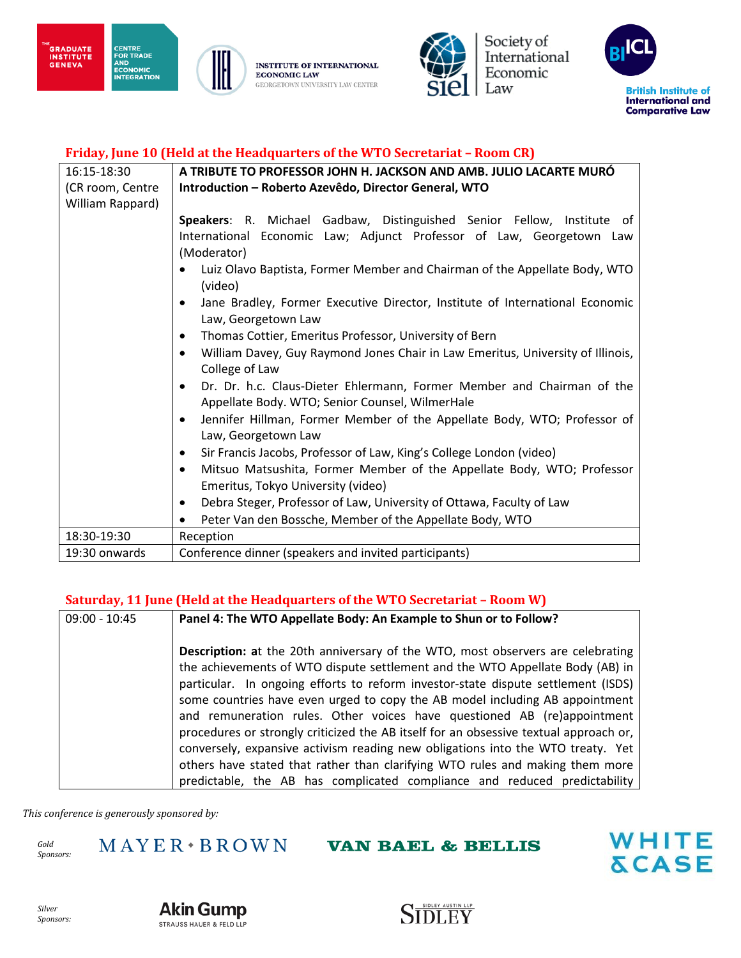



Society of<br>International Economic Law



#### **Friday, June 10 (Held at the Headquarters of the WTO Secretariat – Room CR)**

| 16:15-18:30      | A TRIBUTE TO PROFESSOR JOHN H. JACKSON AND AMB. JULIO LACARTE MURO                                                                                                                                                                                                                                                                                                                                                                                                                                                                                                                                                                                                                                                                                                                                                                                                                                                                                                                                                   |
|------------------|----------------------------------------------------------------------------------------------------------------------------------------------------------------------------------------------------------------------------------------------------------------------------------------------------------------------------------------------------------------------------------------------------------------------------------------------------------------------------------------------------------------------------------------------------------------------------------------------------------------------------------------------------------------------------------------------------------------------------------------------------------------------------------------------------------------------------------------------------------------------------------------------------------------------------------------------------------------------------------------------------------------------|
| (CR room, Centre | Introduction - Roberto Azevêdo, Director General, WTO                                                                                                                                                                                                                                                                                                                                                                                                                                                                                                                                                                                                                                                                                                                                                                                                                                                                                                                                                                |
| William Rappard) |                                                                                                                                                                                                                                                                                                                                                                                                                                                                                                                                                                                                                                                                                                                                                                                                                                                                                                                                                                                                                      |
|                  | Speakers: R. Michael Gadbaw, Distinguished Senior Fellow, Institute of<br>International Economic Law; Adjunct Professor of Law, Georgetown Law<br>(Moderator)<br>Luiz Olavo Baptista, Former Member and Chairman of the Appellate Body, WTO<br>(video)<br>Jane Bradley, Former Executive Director, Institute of International Economic<br>Law, Georgetown Law<br>Thomas Cottier, Emeritus Professor, University of Bern<br>$\bullet$<br>William Davey, Guy Raymond Jones Chair in Law Emeritus, University of Illinois,<br>$\bullet$<br>College of Law<br>Dr. Dr. h.c. Claus-Dieter Ehlermann, Former Member and Chairman of the<br>Appellate Body. WTO; Senior Counsel, WilmerHale<br>Jennifer Hillman, Former Member of the Appellate Body, WTO; Professor of<br>$\bullet$<br>Law, Georgetown Law<br>Sir Francis Jacobs, Professor of Law, King's College London (video)<br>$\bullet$<br>Mitsuo Matsushita, Former Member of the Appellate Body, WTO; Professor<br>$\bullet$<br>Emeritus, Tokyo University (video) |
|                  | Debra Steger, Professor of Law, University of Ottawa, Faculty of Law<br>$\bullet$                                                                                                                                                                                                                                                                                                                                                                                                                                                                                                                                                                                                                                                                                                                                                                                                                                                                                                                                    |
|                  | Peter Van den Bossche, Member of the Appellate Body, WTO                                                                                                                                                                                                                                                                                                                                                                                                                                                                                                                                                                                                                                                                                                                                                                                                                                                                                                                                                             |
| 18:30-19:30      | Reception                                                                                                                                                                                                                                                                                                                                                                                                                                                                                                                                                                                                                                                                                                                                                                                                                                                                                                                                                                                                            |
| 19:30 onwards    | Conference dinner (speakers and invited participants)                                                                                                                                                                                                                                                                                                                                                                                                                                                                                                                                                                                                                                                                                                                                                                                                                                                                                                                                                                |

#### **Saturday, 11 June (Held at the Headquarters of the WTO Secretariat – Room W)**

| $09:00 - 10:45$ | Panel 4: The WTO Appellate Body: An Example to Shun or to Follow?                                                                                                                                                                                                                                                                                                                                                                                                                                                                                                                                                                                                                                                                                                 |
|-----------------|-------------------------------------------------------------------------------------------------------------------------------------------------------------------------------------------------------------------------------------------------------------------------------------------------------------------------------------------------------------------------------------------------------------------------------------------------------------------------------------------------------------------------------------------------------------------------------------------------------------------------------------------------------------------------------------------------------------------------------------------------------------------|
|                 | <b>Description:</b> at the 20th anniversary of the WTO, most observers are celebrating<br>the achievements of WTO dispute settlement and the WTO Appellate Body (AB) in<br>particular. In ongoing efforts to reform investor-state dispute settlement (ISDS)<br>some countries have even urged to copy the AB model including AB appointment<br>and remuneration rules. Other voices have questioned AB (re)appointment<br>procedures or strongly criticized the AB itself for an obsessive textual approach or,<br>conversely, expansive activism reading new obligations into the WTO treaty. Yet<br>others have stated that rather than clarifying WTO rules and making them more<br>predictable, the AB has complicated compliance and reduced predictability |

*This conference is generously sponsored by:*

*Gold Sponsors:*  $MAYER*BROMN$ 

**VAN BAEL & BELLIS** 





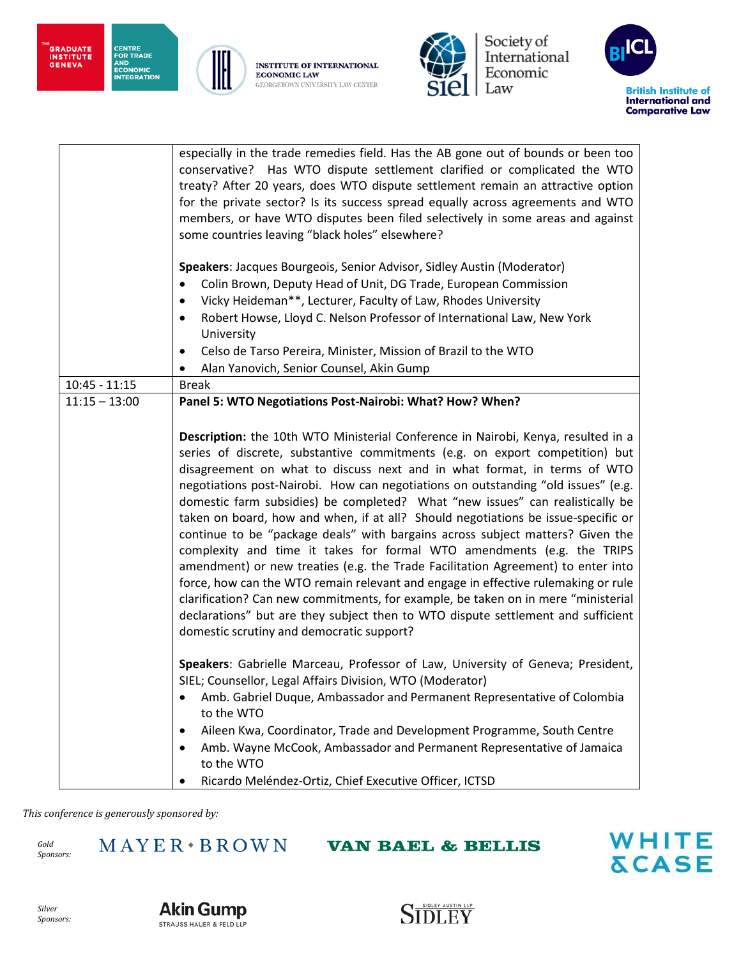"<br>GRADUATE<br>INSTITUTE<br>GENEVA







Society of<br>International Economic Law



|                 | especially in the trade remedies field. Has the AB gone out of bounds or been too<br>conservative? Has WTO dispute settlement clarified or complicated the WTO<br>treaty? After 20 years, does WTO dispute settlement remain an attractive option<br>for the private sector? Is its success spread equally across agreements and WTO<br>members, or have WTO disputes been filed selectively in some areas and against<br>some countries leaving "black holes" elsewhere?                                                                                                                                                                                                                                                                                                                                                                                                                                                                                                                                                                                                                                                       |
|-----------------|---------------------------------------------------------------------------------------------------------------------------------------------------------------------------------------------------------------------------------------------------------------------------------------------------------------------------------------------------------------------------------------------------------------------------------------------------------------------------------------------------------------------------------------------------------------------------------------------------------------------------------------------------------------------------------------------------------------------------------------------------------------------------------------------------------------------------------------------------------------------------------------------------------------------------------------------------------------------------------------------------------------------------------------------------------------------------------------------------------------------------------|
|                 | Speakers: Jacques Bourgeois, Senior Advisor, Sidley Austin (Moderator)<br>Colin Brown, Deputy Head of Unit, DG Trade, European Commission<br>Vicky Heideman**, Lecturer, Faculty of Law, Rhodes University<br>$\bullet$<br>Robert Howse, Lloyd C. Nelson Professor of International Law, New York<br>$\bullet$<br>University<br>Celso de Tarso Pereira, Minister, Mission of Brazil to the WTO<br>$\bullet$<br>Alan Yanovich, Senior Counsel, Akin Gump<br>$\bullet$                                                                                                                                                                                                                                                                                                                                                                                                                                                                                                                                                                                                                                                            |
| $10:45 - 11:15$ | <b>Break</b>                                                                                                                                                                                                                                                                                                                                                                                                                                                                                                                                                                                                                                                                                                                                                                                                                                                                                                                                                                                                                                                                                                                    |
| $11:15 - 13:00$ | Panel 5: WTO Negotiations Post-Nairobi: What? How? When?<br>Description: the 10th WTO Ministerial Conference in Nairobi, Kenya, resulted in a<br>series of discrete, substantive commitments (e.g. on export competition) but<br>disagreement on what to discuss next and in what format, in terms of WTO<br>negotiations post-Nairobi. How can negotiations on outstanding "old issues" (e.g.<br>domestic farm subsidies) be completed? What "new issues" can realistically be<br>taken on board, how and when, if at all? Should negotiations be issue-specific or<br>continue to be "package deals" with bargains across subject matters? Given the<br>complexity and time it takes for formal WTO amendments (e.g. the TRIPS<br>amendment) or new treaties (e.g. the Trade Facilitation Agreement) to enter into<br>force, how can the WTO remain relevant and engage in effective rulemaking or rule<br>clarification? Can new commitments, for example, be taken on in mere "ministerial<br>declarations" but are they subject then to WTO dispute settlement and sufficient<br>domestic scrutiny and democratic support? |
|                 | Speakers: Gabrielle Marceau, Professor of Law, University of Geneva; President,<br>SIEL; Counsellor, Legal Affairs Division, WTO (Moderator)<br>Amb. Gabriel Duque, Ambassador and Permanent Representative of Colombia<br>to the WTO<br>Aileen Kwa, Coordinator, Trade and Development Programme, South Centre<br>٠<br>Amb. Wayne McCook, Ambassador and Permanent Representative of Jamaica<br>to the WTO<br>Ricardo Meléndez-Ortiz, Chief Executive Officer, ICTSD                                                                                                                                                                                                                                                                                                                                                                                                                                                                                                                                                                                                                                                           |

*This conference is generously sponsored by:*

*Gold Sponsors:*  $MAYER*BROWN$ 

**VAN BAEL & BELLIS** 





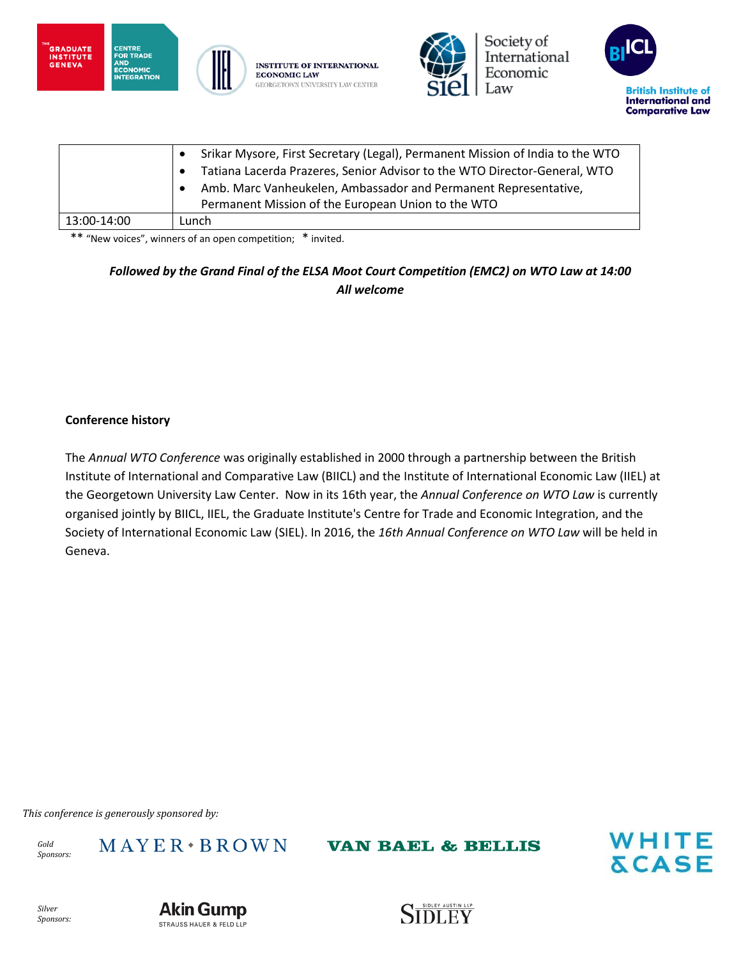



Society of International Economic Law



|             | Srikar Mysore, First Secretary (Legal), Permanent Mission of India to the WTO |
|-------------|-------------------------------------------------------------------------------|
|             | Tatiana Lacerda Prazeres, Senior Advisor to the WTO Director-General, WTO     |
|             | Amb. Marc Vanheukelen, Ambassador and Permanent Representative,               |
|             | Permanent Mission of the European Union to the WTO                            |
| 13:00-14:00 | Lunch                                                                         |

\*\* "New voices", winners of an open competition; \* invited.

### *Followed by the Grand Final of the ELSA Moot Court Competition (EMC2) on WTO Law at 14:00 All welcome*

#### **Conference history**

The *Annual WTO Conference* was originally established in 2000 through a partnership between the British Institute of International and Comparative Law (BIICL) and the Institute of International Economic Law (IIEL) at the Georgetown University Law Center. Now in its 16th year, the *Annual Conference on WTO Law* is currently organised jointly by BIICL, IIEL, the Graduate Institute's Centre for Trade and Economic Integration, and the Society of International Economic Law (SIEL). In 2016, the *16th Annual Conference on WTO Law* will be held in Geneva.

*This conference is generously sponsored by:*

*Gold Sponsors:*  $M$  A Y E R  $\cdot$  B R O W N

**VAN BAEL & BELLIS**